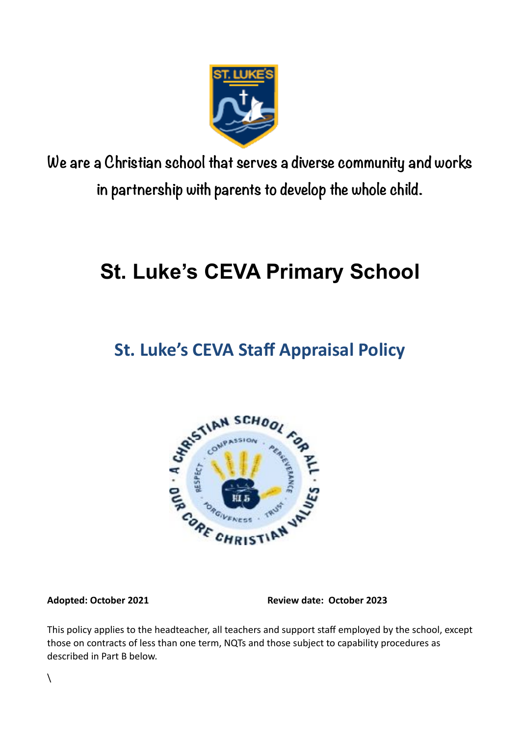

**We are a Christian school that serves a diverse community and works in partnership with parents to develop the whole child.**

# **St. Luke's CEVA Primary School**

# **St. Luke's CEVA Staff Appraisal Policy**



**Adopted: October 2021 Review date: October 2023**

This policy applies to the headteacher, all teachers and support staff employed by the school, except those on contracts of less than one term, NQTs and those subject to capability procedures as described in Part B below.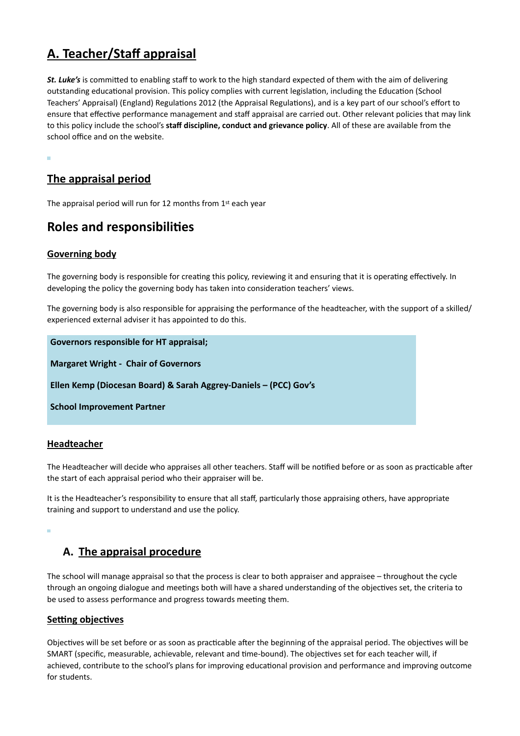# **A. Teacher/Staff appraisal**

*St. Luke's* is committed to enabling staff to work to the high standard expected of them with the aim of delivering outstanding educational provision. This policy complies with current legislation, including the Education (School Teachers' Appraisal) (England) Regulations 2012 (the Appraisal Regulations), and is a key part of our school's effort to ensure that effective performance management and staff appraisal are carried out. Other relevant policies that may link to this policy include the school's **staff discipline, conduct and grievance policy**. All of these are available from the school office and on the website.

# **The appraisal period**

The appraisal period will run for 12 months from 1st each year

# **Roles and responsibilities**

#### **Governing body**

The governing body is responsible for creating this policy, reviewing it and ensuring that it is operating effectively. In developing the policy the governing body has taken into consideration teachers' views.

The governing body is also responsible for appraising the performance of the headteacher, with the support of a skilled/ experienced external adviser it has appointed to do this.

**Governors responsible for HT appraisal;**

**Margaret Wright - Chair of Governors**

**Ellen Kemp (Diocesan Board) & Sarah Aggrey-Daniels – (PCC) Gov's**

**School Improvement Partner**

#### **Headteacher**

The Headteacher will decide who appraises all other teachers. Staff will be notified before or as soon as practicable after the start of each appraisal period who their appraiser will be.

It is the Headteacher's responsibility to ensure that all staff, particularly those appraising others, have appropriate training and support to understand and use the policy.

# **A. The appraisal procedure**

The school will manage appraisal so that the process is clear to both appraiser and appraisee – throughout the cycle through an ongoing dialogue and meetings both will have a shared understanding of the objectives set, the criteria to be used to assess performance and progress towards meeting them.

#### **Setting objectives**

Objectives will be set before or as soon as practicable after the beginning of the appraisal period. The objectives will be SMART (specific, measurable, achievable, relevant and time-bound). The objectives set for each teacher will, if achieved, contribute to the school's plans for improving educational provision and performance and improving outcome for students.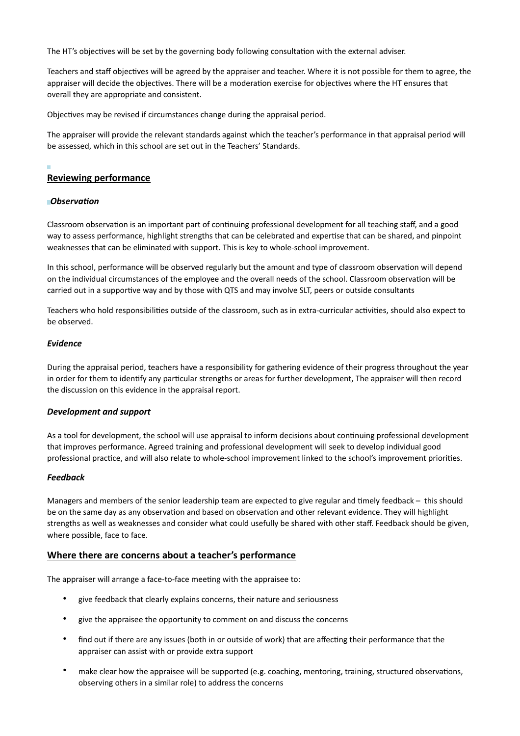The HT's objectives will be set by the governing body following consultation with the external adviser.

Teachers and staff objectives will be agreed by the appraiser and teacher. Where it is not possible for them to agree, the appraiser will decide the objectives. There will be a moderation exercise for objectives where the HT ensures that overall they are appropriate and consistent.

Objectives may be revised if circumstances change during the appraisal period.

The appraiser will provide the relevant standards against which the teacher's performance in that appraisal period will be assessed, which in this school are set out in the Teachers' Standards.

### **Reviewing performance**

#### *Observation*

Classroom observation is an important part of continuing professional development for all teaching staff, and a good way to assess performance, highlight strengths that can be celebrated and expertise that can be shared, and pinpoint weaknesses that can be eliminated with support. This is key to whole-school improvement.

In this school, performance will be observed regularly but the amount and type of classroom observation will depend on the individual circumstances of the employee and the overall needs of the school. Classroom observation will be carried out in a supportive way and by those with QTS and may involve SLT, peers or outside consultants

Teachers who hold responsibilities outside of the classroom, such as in extra-curricular activities, should also expect to be observed.

#### *Evidence*

During the appraisal period, teachers have a responsibility for gathering evidence of their progress throughout the year in order for them to identify any particular strengths or areas for further development, The appraiser will then record the discussion on this evidence in the appraisal report.

#### *Development and support*

As a tool for development, the school will use appraisal to inform decisions about continuing professional development that improves performance. Agreed training and professional development will seek to develop individual good professional practice, and will also relate to whole-school improvement linked to the school's improvement priorities.

#### *Feedback*

Managers and members of the senior leadership team are expected to give regular and timely feedback – this should be on the same day as any observation and based on observation and other relevant evidence. They will highlight strengths as well as weaknesses and consider what could usefully be shared with other staff. Feedback should be given, where possible, face to face.

#### **Where there are concerns about a teacher's performance**

The appraiser will arrange a face-to-face meeting with the appraisee to:

- give feedback that clearly explains concerns, their nature and seriousness
- give the appraisee the opportunity to comment on and discuss the concerns
- find out if there are any issues (both in or outside of work) that are affecting their performance that the appraiser can assist with or provide extra support
- make clear how the appraisee will be supported (e.g. coaching, mentoring, training, structured observations, observing others in a similar role) to address the concerns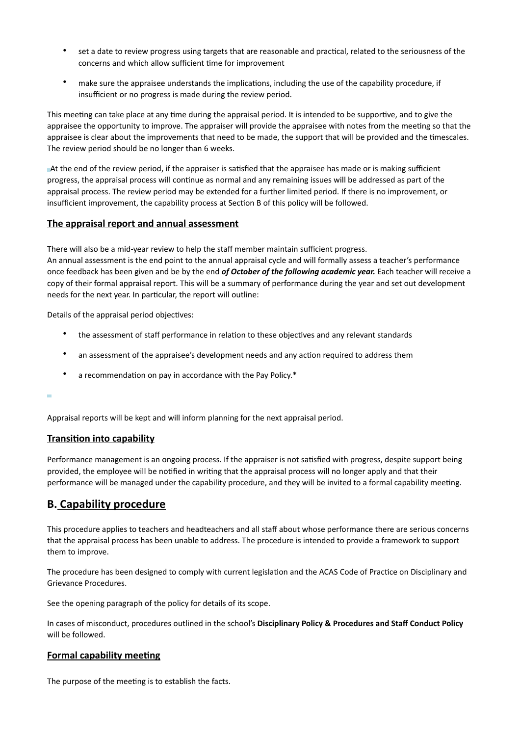- set a date to review progress using targets that are reasonable and practical, related to the seriousness of the concerns and which allow sufficient time for improvement
- make sure the appraisee understands the implications, including the use of the capability procedure, if insufficient or no progress is made during the review period.

This meeting can take place at any time during the appraisal period. It is intended to be supportive, and to give the appraisee the opportunity to improve. The appraiser will provide the appraisee with notes from the meeting so that the appraisee is clear about the improvements that need to be made, the support that will be provided and the timescales. The review period should be no longer than 6 weeks.

At the end of the review period, if the appraiser is satisfied that the appraisee has made or is making sufficient progress, the appraisal process will continue as normal and any remaining issues will be addressed as part of the appraisal process. The review period may be extended for a further limited period. If there is no improvement, or insufficient improvement, the capability process at Section B of this policy will be followed.

#### **The appraisal report and annual assessment**

There will also be a mid-year review to help the staff member maintain sufficient progress. An annual assessment is the end point to the annual appraisal cycle and will formally assess a teacher's performance once feedback has been given and be by the end *of October of the following academic year.* Each teacher will receive a copy of their formal appraisal report. This will be a summary of performance during the year and set out development needs for the next year. In particular, the report will outline:

Details of the appraisal period objectives:

- the assessment of staff performance in relation to these objectives and any relevant standards
- an assessment of the appraisee's development needs and any action required to address them
- a recommendation on pay in accordance with the Pay Policy.\*

#### ٠

Appraisal reports will be kept and will inform planning for the next appraisal period.

#### **Transition into capability**

Performance management is an ongoing process. If the appraiser is not satisfied with progress, despite support being provided, the employee will be notified in writing that the appraisal process will no longer apply and that their performance will be managed under the capability procedure, and they will be invited to a formal capability meeting.

#### **B. Capability procedure**

This procedure applies to teachers and headteachers and all staff about whose performance there are serious concerns that the appraisal process has been unable to address. The procedure is intended to provide a framework to support them to improve.

The procedure has been designed to comply with current legislation and the ACAS Code of Practice on Disciplinary and Grievance Procedures.

See the opening paragraph of the policy for details of its scope.

In cases of misconduct, procedures outlined in the school's **Disciplinary Policy & Procedures and Staff Conduct Policy** will be followed.

#### **Formal capability meeting**

The purpose of the meeting is to establish the facts.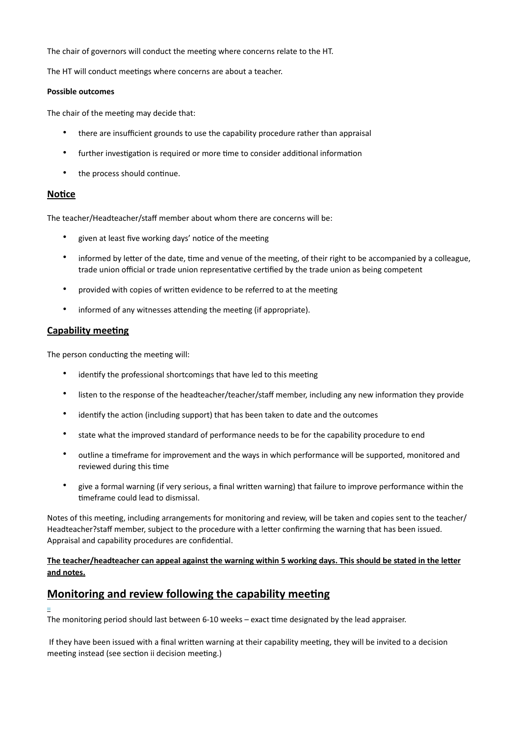The chair of governors will conduct the meeting where concerns relate to the HT.

The HT will conduct meetings where concerns are about a teacher.

#### **Possible outcomes**

The chair of the meeting may decide that:

- there are insufficient grounds to use the capability procedure rather than appraisal
- further investigation is required or more time to consider additional information
- the process should continue.

#### **Notice**

The teacher/Headteacher/staff member about whom there are concerns will be:

- given at least five working days' notice of the meeting
- informed by letter of the date, time and venue of the meeting, of their right to be accompanied by a colleague, trade union official or trade union representative certified by the trade union as being competent
- provided with copies of written evidence to be referred to at the meeting
- informed of any witnesses attending the meeting (if appropriate).

#### **Capability meeting**

The person conducting the meeting will:

- identify the professional shortcomings that have led to this meeting
- listen to the response of the headteacher/teacher/staff member, including any new information they provide
- identify the action (including support) that has been taken to date and the outcomes
- state what the improved standard of performance needs to be for the capability procedure to end
- outline a timeframe for improvement and the ways in which performance will be supported, monitored and reviewed during this time
- give a formal warning (if very serious, a final written warning) that failure to improve performance within the timeframe could lead to dismissal.

Notes of this meeting, including arrangements for monitoring and review, will be taken and copies sent to the teacher/ Headteacher?staff member, subject to the procedure with a letter confirming the warning that has been issued. Appraisal and capability procedures are confidential.

#### **The teacher/headteacher can appeal against the warning within 5 working days. This should be stated in the letter and notes.**

# **Monitoring and review following the capability meeting**

The monitoring period should last between 6-10 weeks – exact time designated by the lead appraiser.

 If they have been issued with a final written warning at their capability meeting, they will be invited to a decision meeting instead (see section ii decision meeting.)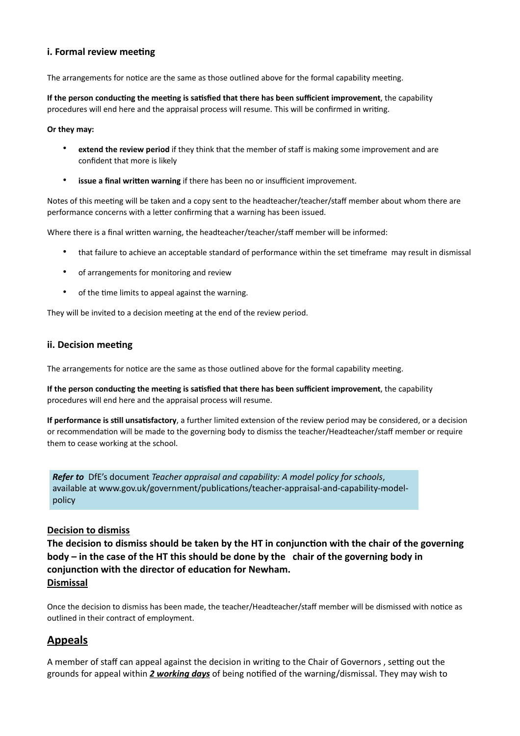### **i. Formal review meeting**

The arrangements for notice are the same as those outlined above for the formal capability meeting.

**If the person conducting the meeting is satisfied that there has been sufficient improvement**, the capability procedures will end here and the appraisal process will resume. This will be confirmed in writing.

#### **Or they may:**

- **extend the review period** if they think that the member of staff is making some improvement and are confident that more is likely
- **issue a final written warning** if there has been no or insufficient improvement.

Notes of this meeting will be taken and a copy sent to the headteacher/teacher/staff member about whom there are performance concerns with a letter confirming that a warning has been issued.

Where there is a final written warning, the headteacher/teacher/staff member will be informed:

- that failure to achieve an acceptable standard of performance within the set timeframe may result in dismissal
- of arrangements for monitoring and review
- of the time limits to appeal against the warning.

They will be invited to a decision meeting at the end of the review period.

#### **ii. Decision meeting**

The arrangements for notice are the same as those outlined above for the formal capability meeting.

**If the person conducting the meeting is satisfied that there has been sufficient improvement**, the capability procedures will end here and the appraisal process will resume.

**If performance is still unsatisfactory**, a further limited extension of the review period may be considered, or a decision or recommendation will be made to the governing body to dismiss the teacher/Headteacher/staff member or require them to cease working at the school.

*Refer to* DfE's document *Teacher appraisal and capability: A model policy for schools*, available at www.gov.uk/government/publications/teacher-appraisal-and-capability-modelpolicy

#### **Decision to dismiss**

**The decision to dismiss should be taken by the HT in conjunction with the chair of the governing body – in the case of the HT this should be done by the chair of the governing body in conjunction with the director of education for Newham. Dismissal**

Once the decision to dismiss has been made, the teacher/Headteacher/staff member will be dismissed with notice as outlined in their contract of employment.

# **Appeals**

A member of staff can appeal against the decision in writing to the Chair of Governors , setting out the grounds for appeal within *2 working days* of being notified of the warning/dismissal. They may wish to